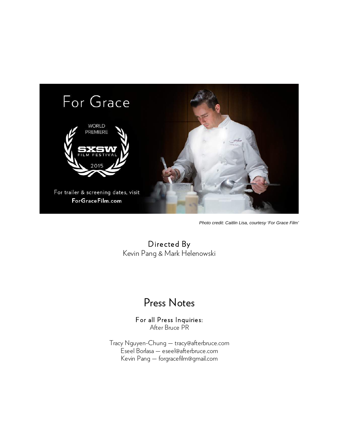

Photo credit: Caitlin Lisa, courtesy 'For Grace Film'

Directed By Kevin Pang & Mark Helenowski

## Press Notes

For all Press Inquiries: After Bruce PR

Tracy Nguyen-Chung — tracy@afterbruce.com Eseel Borlasa — eseel@afterbruce.com Kevin Pang — forgracefilm@gmail.com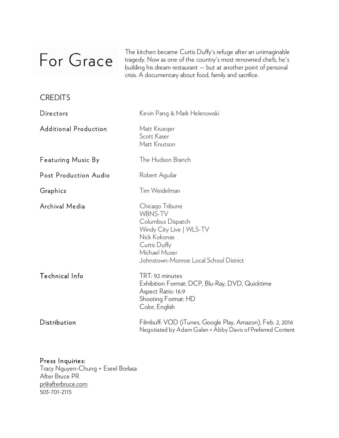# For Grace

The kitchen became Curtis Duffy's refuge after an unimaginable tragedy. Now as one of the country's most renowned chefs, he's building his dream restaurant — but at another point of personal crisis. A documentary about food, family and sacrifice.

#### **CREDITS**

| Directors                    | Kevin Pang & Mark Helenowski                                                                                                                                                  |  |
|------------------------------|-------------------------------------------------------------------------------------------------------------------------------------------------------------------------------|--|
| <b>Additional Production</b> | Matt Krueger<br>Scott Kaser<br>Matt Knutson                                                                                                                                   |  |
| <b>Featuring Music By</b>    | The Hudson Branch                                                                                                                                                             |  |
| Post Production Audio        | Robert Aquilar                                                                                                                                                                |  |
| Graphics                     | Tim Weidelman                                                                                                                                                                 |  |
| Archival Media               | Chicago Tribune<br><b>WBNS-TV</b><br>Columbus Dispatch<br>Windy City Live   WLS-TV<br>Nick Kokonas<br>Curtis Duffy<br>Michael Muser<br>Johnstown-Monroe Local School District |  |
| Technical Info               | TRT: 92 minutes<br>Exhibition Format: DCP, Blu-Ray, DVD, Quicktime<br>Aspect Ratio: 16:9<br>Shooting Format: HD<br>Color, English                                             |  |
| Distribution                 | Filmbuff: VOD (iTunes, Google Play, Amazon), Feb. 2, 2016<br>Negotiated by Adam Galen + Abby Davis of Preferred Content                                                       |  |

#### Press Inquiries:

Tracy Nguyen-Chung + Eseel Borlasa After Bruce PR pr@afterbruce.com 503-701-2115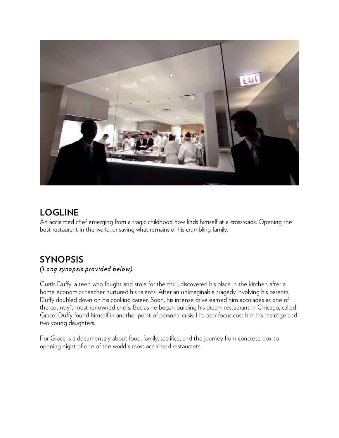

## **LOGLINE**

An acclaimed chef emerging from a tragic childhood now finds himself at a crossroads: Opening the best restaurant in the world, or saving what remains of his crumbling family.

#### **SYNOPSIS** *(Long synopsis provided below)*

Curtis Duffy, a teen who fought and stole for the thrill, discovered his place in the kitchen after a home economics teacher nurtured his talents. After an unimaginable tragedy involving his parents, Duffy doubled down on his cooking career. Soon, his intense drive earned him accolades as one of the country's most renowned chefs. But as he began building his dream restaurant in Chicago, called Grace, Duffy found himself in another point of personal crisis: His laser focus cost him his marriage and two young daughters.

For Grace is a documentary about food, family, sacrifice, and the journey from concrete box to opening night of one of the world's most acclaimed restaurants.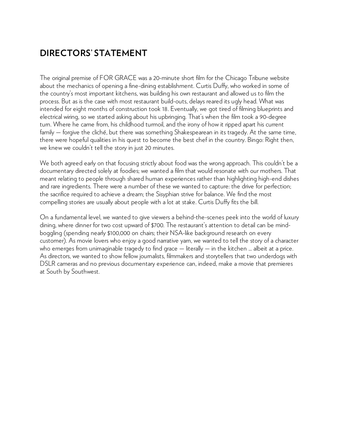## **DIRECTORS' STATEMENT**

The original premise of FOR GRACE was a 20-minute short film for the Chicago Tribune website about the mechanics of opening a fine-dining establishment. Curtis Duffy, who worked in some of the country's most important kitchens, was building his own restaurant and allowed us to film the process. But as is the case with most restaurant build-outs, delays reared its ugly head. What was intended for eight months of construction took 18. Eventually, we got tired of filming blueprints and electrical wiring, so we started asking about his upbringing. That's when the film took a 90-degree turn. Where he came from, his childhood turmoil, and the irony of how it ripped apart his current family — forgive the cliché, but there was something Shakespearean in its tragedy. At the same time, there were hopeful qualities in his quest to become the best chef in the country. Bingo: Right then, we knew we couldn't tell the story in just 20 minutes.

We both agreed early on that focusing strictly about food was the wrong approach. This couldn't be a documentary directed solely at foodies; we wanted a film that would resonate with our mothers. That meant relating to people through shared human experiences rather than highlighting high-end dishes and rare ingredients. There were a number of these we wanted to capture: the drive for perfection; the sacrifice required to achieve a dream; the Sisyphian strive for balance. We find the most compelling stories are usually about people with a lot at stake. Curtis Duffy fits the bill.

On a fundamental level, we wanted to give viewers a behind-the-scenes peek into the world of luxury dining, where dinner for two cost upward of \$700. The restaurant's attention to detail can be mindboggling (spending nearly \$100,000 on chairs; their NSA-like background research on every customer). As movie lovers who enjoy a good narrative yarn, we wanted to tell the story of a character who emerges from unimaginable tragedy to find grace  $-$  literally  $-$  in the kitchen ... albeit at a price. As directors, we wanted to show fellow journalists, filmmakers and storytellers that two underdogs with DSLR cameras and no previous documentary experience can, indeed, make a movie that premieres at South by Southwest.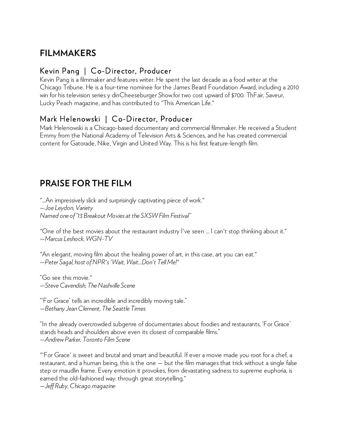## **FILMMAKERS**

#### Kevin Pang | Co-Director, Producer

Kevin Pang is a filmmaker and features writer. He spent the last decade as a food writer at the Chicago Tribune. He is a four-time nominee for the James Beard Foundation Award, including a 2010 win for his television series y dinCheeseburger Show.for two cost upward of \$700. ThFair, Saveur, Lucky Peach magazine, and has contributed to "This American Life."

#### Mark Helenowski | Co-Director, Producer

Mark Helenowski is a Chicago-based documentary and commercial filmmaker. He received a Student Emmy from the National Academy of Television Arts & Sciences, and he has created commercial content for Gatorade, Nike, Virgin and United Way. This is his first feature-length film.

## **PRAISE FOR THE FILM**

"...An impressively slick and surprisingly captivating piece of work." *—Joe Leydon,Variety Named one of "13 Breakout Movies at the SXSWFilm Festival"*

"One of the best movies about the restaurant industry I've seen ... I can't stop thinking about it." *—Marcus Leshock,WGN-TV*

"An elegant, moving film about the healing power of art, in this case, art you can eat." *—Peter Sagal, host of NPR's'Wait,Wait...Don't Tell Me!"*

"Go see this movie." *—SteveCavendish, The Nashville Scene*

"'For Grace' tells an incredible and incredibly moving tale." *—Bethany JeanClement, The Seattle Times*

"In the already overcrowded subgenre of documentaries about foodies and restaurants, 'For Grace' stands heads and shoulders above even its closest of comparable films." *—AndrewParker, Toronto Film Scene*

"'For Grace' is sweet and brutal and smart and beautiful. If ever a movie made you root for a chef, a restaurant, and a human being, this is the one — but the film manages that trick without a single false step or maudlin frame. Every emotion it provokes, from devastating sadness to supreme euphoria, is earned the old-fashioned way: through great storytelling."

*—Jeff Ruby, Chicago magazine*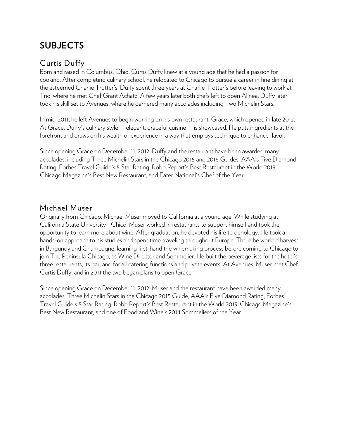## **SUBJECTS**

### Curtis Duffy

Born and raised in Columbus, Ohio, Curtis Duffy knew at a young age that he had a passion for cooking. After completing culinary school, he relocated to Chicago to pursue a career in fine dining at the esteemed Charlie Trotter's. Duffy spent three years at Charlie Trotter's before leaving to work at Trio, where he met Chef Grant Achatz; A few years later both chefs left to open Alinea. Duffy later took his skill set to Avenues, where he garnered many accolades including Two Michelin Stars.

In mid-2011, he left Avenues to begin working on his own restaurant, Grace, which opened in late 2012. At Grace, Duffy's culinary style — elegant, graceful cuisine — is showcased. He puts ingredients at the forefront and draws on his wealth of experience in a way that employs technique to enhance flavor.

Since opening Grace on December 11, 2012, Duffy and the restaurant have been awarded many accolades, including Three Michelin Stars in the Chicago 2015 and 2016 Guides, AAA's Five Diamond Rating, Forbes Travel Guide's 5 Star Rating, Robb Report's Best Restaurant in the World 2013, Chicago Magazine's Best New Restaurant, and Eater National's Chef of the Year.

#### Michael Muser

Originally from Chicago, Michael Muser moved to California at a young age. While studying at California State University - Chico, Muser worked in restaurants to support himself and took the opportunity to learn more about wine. After graduation, he devoted his life to oenology. He took a hands-on approach to his studies and spent time traveling throughout Europe. There he worked harvest in Burgundy and Champagne, learning first-hand the winemaking process before coming to Chicago to join The Peninsula Chicago, as Wine Director and Sommelier. He built the beverage lists for the hotel's three restaurants, its bar, and for all catering functions and private events. At Avenues, Muser met Chef Curtis Duffy, and in 2011 the two began plans to open Grace.

Since opening Grace on December 11, 2012, Muser and the restaurant have been awarded many accolades, Three Michelin Stars in the Chicago 2015 Guide, AAA's Five Diamond Rating, Forbes Travel Guide's 5 Star Rating, Robb Report's Best Restaurant in the World 2013, Chicago Magazine's Best New Restaurant, and one of Food and Wine's 2014 Sommeliers of the Year.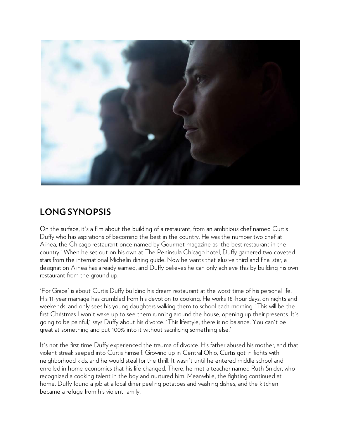

## **LONG SYNOPSIS**

On the surface, it's a film about the building of a restaurant, from an ambitious chef named Curtis Duffy who has aspirations of becoming the best in the country. He was the number two chef at Alinea, the Chicago restaurant once named by Gourmet magazine as 'the best restaurant in the country.' When he set out on his own at The Peninsula Chicago hotel, Duffy garnered two coveted stars from the international Michelin dining guide. Now he wants that elusive third and final star, a designation Alinea has already earned, and Duffy believes he can only achieve this by building his own restaurant from the ground up.

'For Grace' is about Curtis Duffy building his dream restaurant at the worst time of his personal life. His 11-year marriage has crumbled from his devotion to cooking. He works 18-hour days, on nights and weekends, and only sees his young daughters walking them to school each morning. 'This will be the first Christmas I won't wake up to see them running around the house, opening up their presents. It's going to be painful,' says Duffy about his divorce. 'This lifestyle, there is no balance. You can't be great at something and put 100% into it without sacrificing something else.'

It's not the first time Duffy experienced the trauma of divorce. His father abused his mother, and that violent streak seeped into Curtis himself. Growing up in Central Ohio, Curtis got in fights with neighborhood kids, and he would steal for the thrill. It wasn't until he entered middle school and enrolled in home economics that his life changed. There, he met a teacher named Ruth Snider, who recognized a cooking talent in the boy and nurtured him. Meanwhile, the fighting continued at home. Duffy found a job at a local diner peeling potatoes and washing dishes, and the kitchen became a refuge from his violent family.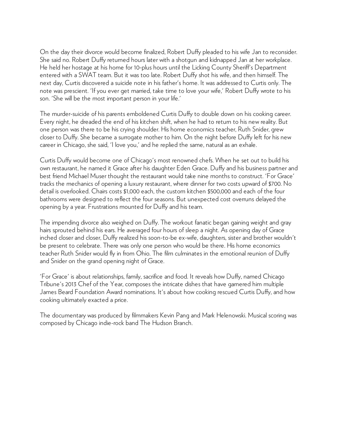On the day their divorce would become finalized, Robert Duffy pleaded to his wife Jan to reconsider. She said no. Robert Duffy returned hours later with a shotgun and kidnapped Jan at her workplace. He held her hostage at his home for 10-plus hours until the Licking County Sheriff's Department entered with a SWAT team. But it was too late. Robert Duffy shot his wife, and then himself. The next day, Curtis discovered a suicide note in his father's home. It was addressed to Curtis only. The note was prescient. 'If you ever get married, take time to love your wife,' Robert Duffy wrote to his son. 'She will be the most important person in your life.'

The murder-suicide of his parents emboldened Curtis Duffy to double down on his cooking career. Every night, he dreaded the end of his kitchen shift, when he had to return to his new reality. But one person was there to be his crying shoulder. His home economics teacher, Ruth Snider, grew closer to Duffy. She became a surrogate mother to him. On the night before Duffy left for his new career in Chicago, she said, 'I love you,' and he replied the same, natural as an exhale.

Curtis Duffy would become one of Chicago's most renowned chefs. When he set out to build his own restaurant, he named it Grace after his daughter Eden Grace. Duffy and his business partner and best friend Michael Muser thought the restaurant would take nine months to construct. 'For Grace' tracks the mechanics of opening a luxury restaurant, where dinner for two costs upward of \$700. No detail is overlooked. Chairs costs \$1,000 each, the custom kitchen \$500,000 and each of the four bathrooms were designed to reflect the four seasons. But unexpected cost overruns delayed the opening by a year. Frustrations mounted for Duffy and his team.

The impending divorce also weighed on Duffy. The workout fanatic began gaining weight and gray hairs sprouted behind his ears. He averaged four hours of sleep a night. As opening day of Grace inched closer and closer, Duffy realized his soon-to-be ex-wife, daughters, sister and brother wouldn't be present to celebrate. There was only one person who would be there. His home economics teacher Ruth Snider would fly in from Ohio. The film culminates in the emotional reunion of Duffy and Snider on the grand opening night of Grace.

'For Grace' is about relationships, family, sacrifice and food. It reveals how Duffy, named Chicago Tribune's 2013 Chef of the Year, composes the intricate dishes that have garnered him multiple James Beard Foundation Award nominations. It's about how cooking rescued Curtis Duffy, and how cooking ultimately exacted a price.

The documentary was produced by filmmakers Kevin Pang and Mark Helenowski. Musical scoring was composed by Chicago indie-rock band The Hudson Branch.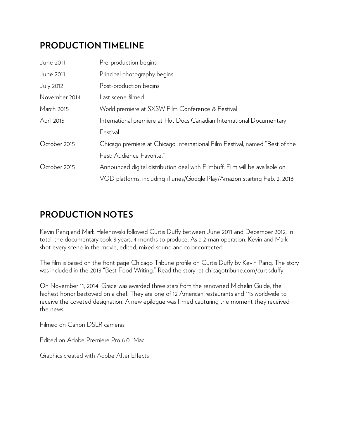## **PRODUCTION TIMELINE**

| June 2011        | Pre-production begins                                                        |  |
|------------------|------------------------------------------------------------------------------|--|
| June 2011        | Principal photography begins                                                 |  |
| <b>July 2012</b> | Post-production begins                                                       |  |
| November 2014    | Last scene filmed                                                            |  |
| March 2015       | World premiere at SXSW Film Conference & Festival                            |  |
| April 2015       | International premiere at Hot Docs Canadian International Documentary        |  |
|                  | Festival                                                                     |  |
| October 2015     | Chicago premiere at Chicago International Film Festival, named "Best of the  |  |
|                  | Fest: Audience Favorite."                                                    |  |
| October 2015     | Announced digital distribution deal with Filmbuff. Film will be available on |  |
|                  | VOD platforms, including iTunes/Google Play/Amazon starting Feb. 2, 2016     |  |

## **PRODUCTION NOTES**

Kevin Pang and Mark Helenowski followed Curtis Duffy between June 2011 and December 2012. In total, the documentary took 3 years, 4 months to produce. As a 2-man operation, Kevin and Mark shot every scene in the movie, edited, mixed sound and color corrected.

The film is based on the front page Chicago Tribune profile on Curtis Duffy by Kevin Pang. The story was included in the 2013 "Best Food Writing." Read the story at chicagotribune.com/curtisduffy

On November 11, 2014, Grace was awarded three stars from the renowned Michelin Guide, the highest honor bestowed on a chef. They are one of 12 American restaurants and 115 worldwide to receive the coveted designation. A new epilogue was filmed capturing the moment they received the news.

Filmed on Canon DSLR cameras

Edited on Adobe Premiere Pro 6.0, iMac

Graphics created with Adobe After Effects